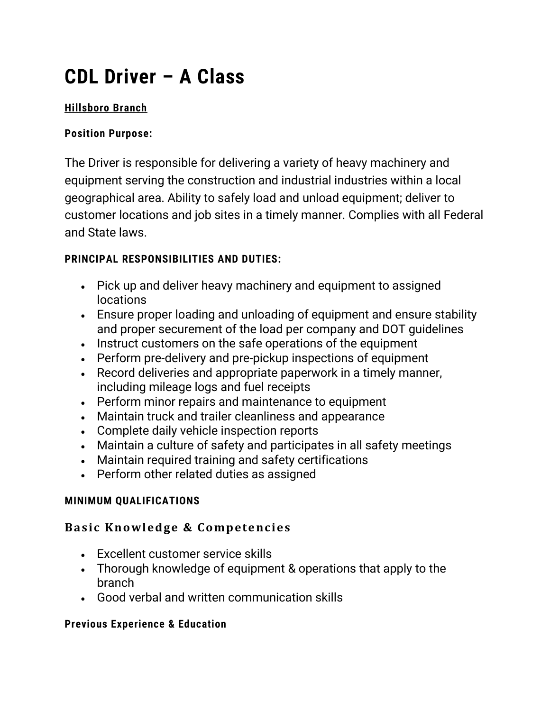# **CDL Driver – A Class**

## **Hillsboro Branch**

### **Position Purpose:**

The Driver is responsible for delivering a variety of heavy machinery and equipment serving the construction and industrial industries within a local geographical area. Ability to safely load and unload equipment; deliver to customer locations and job sites in a timely manner. Complies with all Federal and State laws.

### **PRINCIPAL RESPONSIBILITIES AND DUTIES:**

- Pick up and deliver heavy machinery and equipment to assigned locations
- Ensure proper loading and unloading of equipment and ensure stability and proper securement of the load per company and DOT guidelines
- Instruct customers on the safe operations of the equipment
- Perform pre-delivery and pre-pickup inspections of equipment
- Record deliveries and appropriate paperwork in a timely manner, including mileage logs and fuel receipts
- Perform minor repairs and maintenance to equipment
- Maintain truck and trailer cleanliness and appearance
- Complete daily vehicle inspection reports
- Maintain a culture of safety and participates in all safety meetings
- Maintain required training and safety certifications
- Perform other related duties as assigned

# **MINIMUM QUALIFICATIONS**

# **Basic Knowledge & Competencies**

- Excellent customer service skills
- Thorough knowledge of equipment & operations that apply to the branch
- Good verbal and written communication skills

#### **Previous Experience & Education**